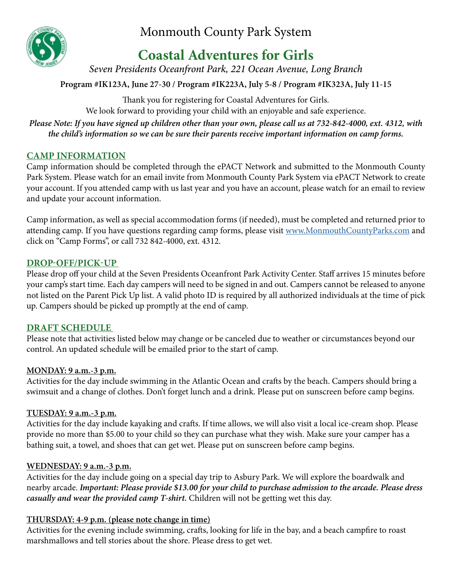

Monmouth County Park System

# **Coastal Adventures for Girls**

*Seven Presidents Oceanfront Park, 221 Ocean Avenue, Long Branch*

**Program #IK123A, June 27-30 / Program #IK223A, July 5-8 / Program #IK323A, July 11-15**

Thank you for registering for Coastal Adventures for Girls. We look forward to providing your child with an enjoyable and safe experience.

*Please Note: If you have signed up children other than your own, please call us at 732-842-4000, ext. 4312, with the child's information so we can be sure their parents receive important information on camp forms.*

# **CAMP INFORMATION**

Camp information should be completed through the ePACT Network and submitted to the Monmouth County Park System. Please watch for an email invite from Monmouth County Park System via ePACT Network to create your account. If you attended camp with us last year and you have an account, please watch for an email to review and update your account information.

Camp information, as well as special accommodation forms (if needed), must be completed and returned prior to attending camp. If you have questions regarding camp forms, please visit [www.MonmouthCountyParks.com](http://www.MonmouthCountyParks.com) and click on "Camp Forms", or call 732 842-4000, ext. 4312.

# **DROP-OFF/PICK-UP**

Please drop off your child at the Seven Presidents Oceanfront Park Activity Center. Staff arrives 15 minutes before your camp's start time. Each day campers will need to be signed in and out. Campers cannot be released to anyone not listed on the Parent Pick Up list. A valid photo ID is required by all authorized individuals at the time of pick up. Campers should be picked up promptly at the end of camp.

## **DRAFT SCHEDULE**

Please note that activities listed below may change or be canceled due to weather or circumstances beyond our control. An updated schedule will be emailed prior to the start of camp.

## **MONDAY: 9 a.m.-3 p.m.**

Activities for the day include swimming in the Atlantic Ocean and crafts by the beach. Campers should bring a swimsuit and a change of clothes. Don't forget lunch and a drink. Please put on sunscreen before camp begins.

## **TUESDAY: 9 a.m.-3 p.m.**

Activities for the day include kayaking and crafts. If time allows, we will also visit a local ice-cream shop. Please provide no more than \$5.00 to your child so they can purchase what they wish. Make sure your camper has a bathing suit, a towel, and shoes that can get wet. Please put on sunscreen before camp begins.

## **WEDNESDAY: 9 a.m.-3 p.m.**

Activities for the day include going on a special day trip to Asbury Park. We will explore the boardwalk and nearby arcade. *Important: Please provide \$13.00 for your child to purchase admission to the arcade. Please dress casually and wear the provided camp T-shirt.* Children will not be getting wet this day.

## **THURSDAY: 4-9 p.m. (please note change in time)**

Activities for the evening include swimming, crafts, looking for life in the bay, and a beach campfire to roast marshmallows and tell stories about the shore. Please dress to get wet.